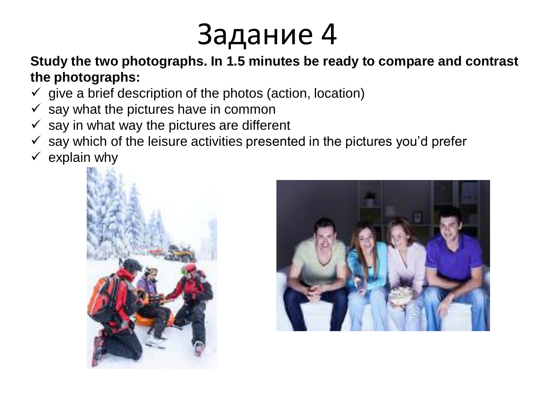## Задание 4

**Study the two photographs. In 1.5 minutes be ready to compare and contrast the photographs:**

- $\checkmark$  give a brief description of the photos (action, location)
- $\checkmark$  say what the pictures have in common
- $\checkmark$  say in what way the pictures are different
- $\checkmark$  say which of the leisure activities presented in the pictures you'd prefer
- $\checkmark$  explain why



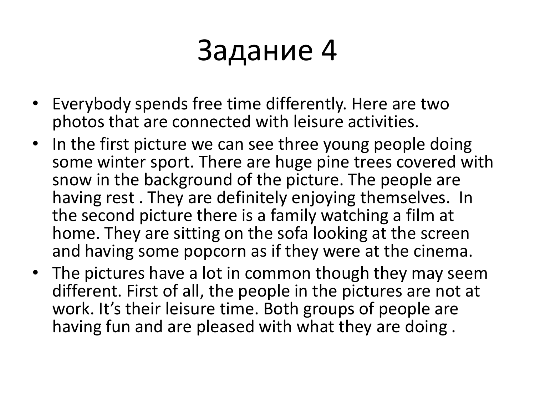## Задание 4

- Everybody spends free time differently. Here are two photos that are connected with leisure activities.
- In the first picture we can see three young people doing some winter sport. There are huge pine trees covered with snow in the background of the picture. The people are having rest . They are definitely enjoying themselves. In the second picture there is a family watching a film at home. They are sitting on the sofa looking at the screen and having some popcorn as if they were at the cinema.
- The pictures have a lot in common though they may seem different. First of all, the people in the pictures are not at work. It's their leisure time. Both groups of people are having fun and are pleased with what they are doing .